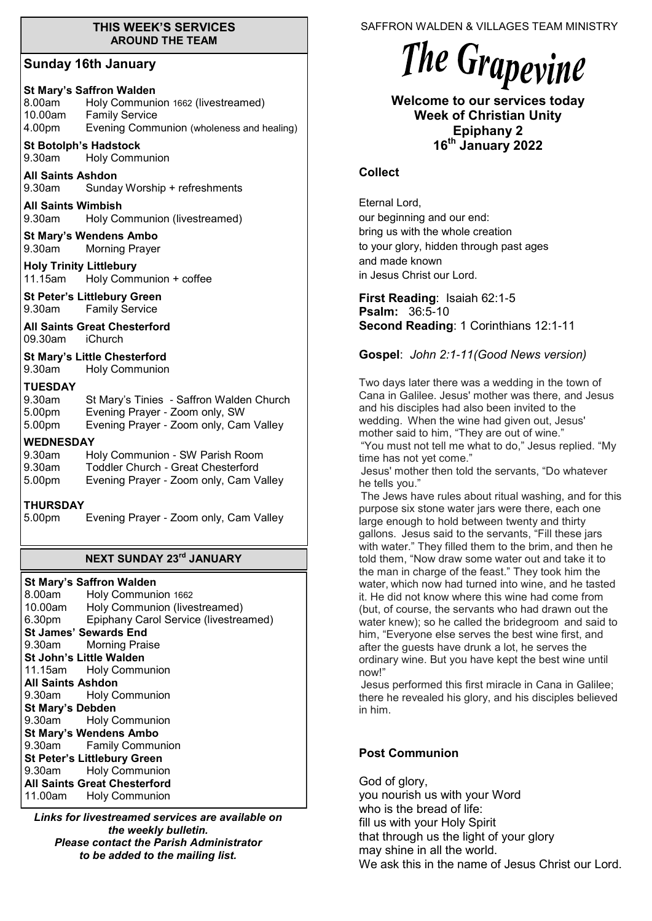#### **THIS WEEK'S SERVICES AROUND THE TEAM**

#### **Sunday 16th January**

#### **St Mary's Saffron Walden**

| 8.00am  | Holy Communion 1662 (livestreamed)        |
|---------|-------------------------------------------|
| 10.00am | <b>Family Service</b>                     |
| 4.00pm  | Evening Communion (wholeness and healing) |

### **St Botolph's Hadstock**

9.30am Holy Communion

**All Saints Ashdon**  9.30am Sunday Worship + refreshments

**All Saints Wimbish** 9.30am Holy Communion (livestreamed)

**St Mary's Wendens Ambo** 9.30am Morning Prayer

**Holy Trinity Littlebury** 11.15am Holy Communion + coffee

**St Peter's Littlebury Green** 9.30am Family Service

**All Saints Great Chesterford** 09.30am iChurch

**St Mary's Little Chesterford**

9.30am Holy Communion

#### **TUESDAY**

| 9.30am | St Mary's Tinies - Saffron Walden Church |
|--------|------------------------------------------|
| 5.00pm | Evening Prayer - Zoom only, SW           |
| 5.00pm | Evening Prayer - Zoom only, Cam Valley   |

#### **WEDNESDAY**

9.30am Holy Communion - SW Parish Room

9.30am Toddler Church - Great Chesterford

5.00pm Evening Prayer - Zoom only, Cam Valley

#### **THURSDAY**

5.00pm Evening Prayer - Zoom only, Cam Valley

# **NEXT SUNDAY 23rd JANUARY**

#### **St Mary's Saffron Walden**

|                                     | 8.00am Holy Communion 1662                   |  |  |
|-------------------------------------|----------------------------------------------|--|--|
| 10.00am                             | Holy Communion (livestreamed)                |  |  |
|                                     | 6.30pm Epiphany Carol Service (livestreamed) |  |  |
| <b>St James' Sewards End</b>        |                                              |  |  |
|                                     | 9.30am Morning Praise                        |  |  |
| <b>St John's Little Walden</b>      |                                              |  |  |
|                                     | 11.15am Holy Communion                       |  |  |
| <b>All Saints Ashdon</b>            |                                              |  |  |
|                                     | 9.30am Holy Communion                        |  |  |
| <b>St Mary's Debden</b>             |                                              |  |  |
|                                     | 9.30am Holy Communion                        |  |  |
| <b>St Mary's Wendens Ambo</b>       |                                              |  |  |
|                                     | 9.30am Family Communion                      |  |  |
| <b>St Peter's Littlebury Green</b>  |                                              |  |  |
|                                     | 9.30am Holy Communion                        |  |  |
| <b>All Saints Great Chesterford</b> |                                              |  |  |
|                                     | 11.00am Holy Communion                       |  |  |

*Links for livestreamed services are available on the weekly bulletin. Please contact the Parish Administrator to be added to the mailing list.*

SAFFRON WALDEN & VILLAGES TEAM MINISTRY

# The Grapevine

**Welcome to our services today Week of Christian Unity Epiphany 2 16th January 2022**

#### **Collect**

Eternal Lord, our beginning and our end: bring us with the whole creation to your glory, hidden through past ages and made known in Jesus Christ our Lord.

**First Reading**: Isaiah 62:1-5 **Psalm:** 36:5-10 **Second Reading**: 1 Corinthians 12:1-11

**Gospel**: *John 2:1-11(Good News version)*

Two days later there was a wedding in the town of Cana in Galilee. Jesus' mother was there, and Jesus and his disciples had also been invited to the wedding. When the wine had given out, Jesus' mother said to him, "They are out of wine." "You must not tell me what to do," Jesus replied. "My time has not yet come."

Jesus' mother then told the servants, "Do whatever he tells you."

The Jews have rules about ritual washing, and for this purpose six stone water jars were there, each one large enough to hold between twenty and thirty gallons. Jesus said to the servants, "Fill these jars with water." They filled them to the brim, and then he told them, "Now draw some water out and take it to the man in charge of the feast." They took him the water, which now had turned into wine, and he tasted it. He did not know where this wine had come from (but, of course, the servants who had drawn out the water knew); so he called the bridegroom and said to him, "Everyone else serves the best wine first, and after the guests have drunk a lot, he serves the ordinary wine. But you have kept the best wine until now!"

Jesus performed this first miracle in Cana in Galilee; there he revealed his glory, and his disciples believed in him.

### **Post Communion**

God of glory, you nourish us with your Word who is the bread of life: fill us with your Holy Spirit that through us the light of your glory may shine in all the world. We ask this in the name of Jesus Christ our Lord.